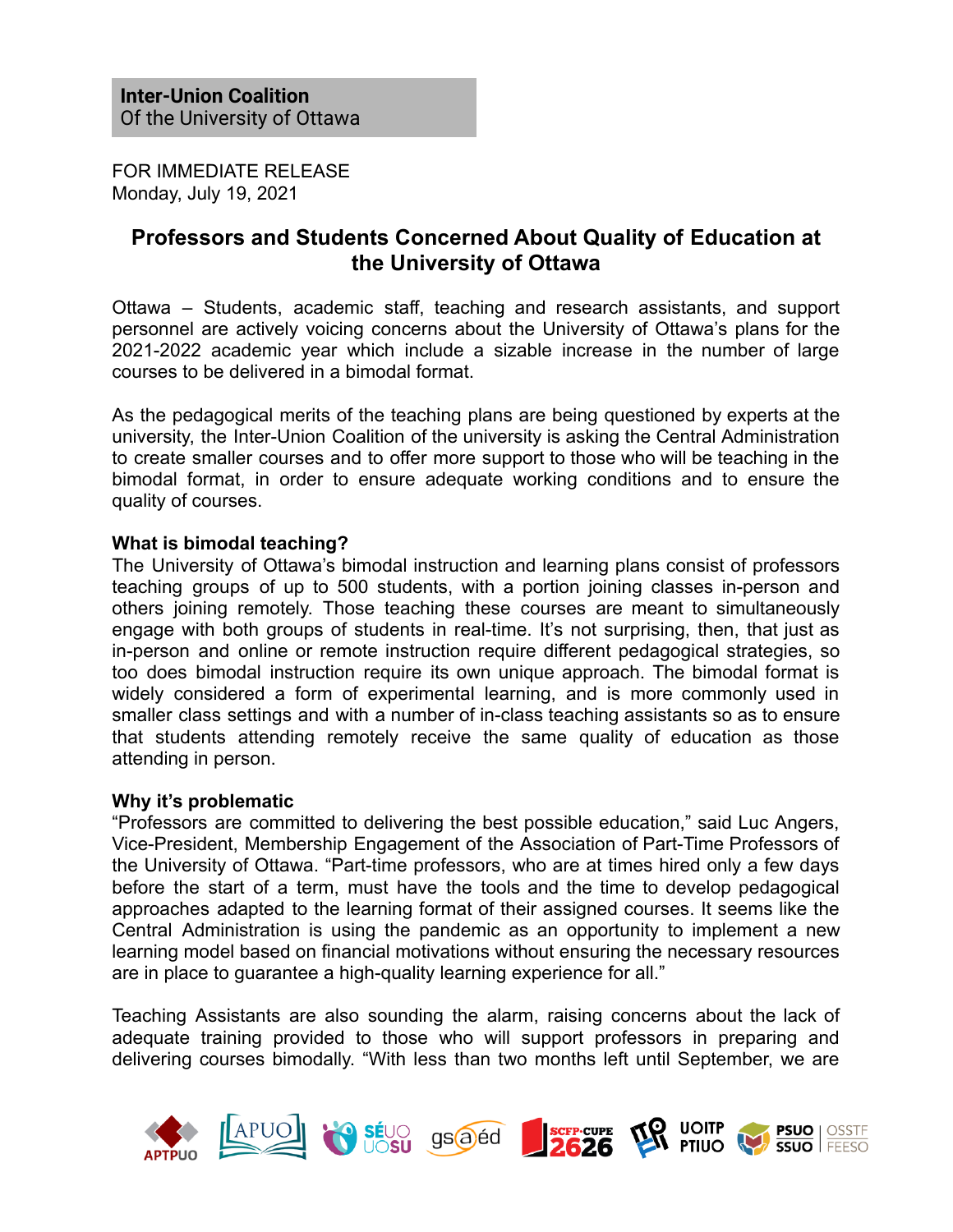FOR IMMEDIATE RELEASE Monday, July 19, 2021

## **Professors and Students Concerned About Quality of Education at the University of Ottawa**

Ottawa – Students, academic staff, teaching and research assistants, and support personnel are actively voicing concerns about the University of Ottawa's plans for the 2021-2022 academic year which include a sizable increase in the number of large courses to be delivered in a bimodal format.

As the pedagogical merits of the teaching plans are being questioned by experts at the university, the Inter-Union Coalition of the university is asking the Central Administration to create smaller courses and to offer more support to those who will be teaching in the bimodal format, in order to ensure adequate working conditions and to ensure the quality of courses.

## **What is bimodal teaching?**

The University of Ottawa's bimodal instruction and learning plans consist of professors teaching groups of up to 500 students, with a portion joining classes in-person and others joining remotely. Those teaching these courses are meant to simultaneously engage with both groups of students in real-time. It's not surprising, then, that just as in-person and online or remote instruction require different pedagogical strategies, so too does bimodal instruction require its own unique approach. The bimodal format is widely considered a form of experimental learning, and is more commonly used in smaller class settings and with a number of in-class teaching assistants so as to ensure that students attending remotely receive the same quality of education as those attending in person.

## **Why it's problematic**

"Professors are committed to delivering the best possible education," said Luc Angers, Vice-President, Membership Engagement of the Association of Part-Time Professors of the University of Ottawa. "Part-time professors, who are at times hired only a few days before the start of a term, must have the tools and the time to develop pedagogical approaches adapted to the learning format of their assigned courses. It seems like the Central Administration is using the pandemic as an opportunity to implement a new learning model based on financial motivations without ensuring the necessary resources are in place to guarantee a high-quality learning experience for all."

Teaching Assistants are also sounding the alarm, raising concerns about the lack of adequate training provided to those who will support professors in preparing and delivering courses bimodally. "With less than two months left until September, we are